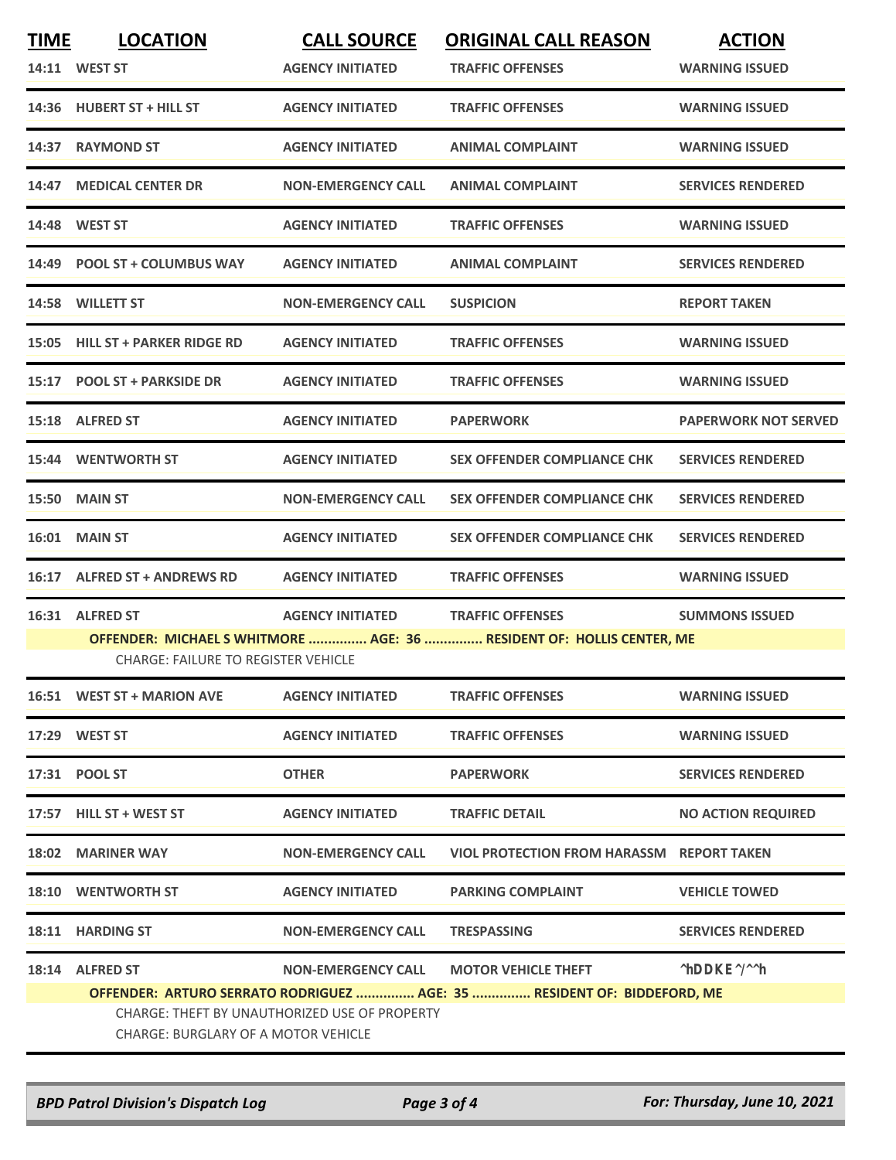| <u>TIME</u>                                                                                                        | <b>LOCATION</b>                                                                                                                                                               | <u>CALL SOURCE</u>      | <u>ORIGINAL CALL REASON</u>               | <b>ACTION</b>            |  |  |  |
|--------------------------------------------------------------------------------------------------------------------|-------------------------------------------------------------------------------------------------------------------------------------------------------------------------------|-------------------------|-------------------------------------------|--------------------------|--|--|--|
| 14:11                                                                                                              | <b>WEST ST</b>                                                                                                                                                                | <b>AGENCY INITIATED</b> | <b>TRAFFIC OFFENSES</b>                   | <b>WARNING ISSUED</b>    |  |  |  |
| 14:36                                                                                                              | HUBERT ST + HILL ST                                                                                                                                                           | <b>AGENCY INITIATED</b> | <b>TRAFFIC OFFENSES</b>                   | <b>WARNING ISSUED</b>    |  |  |  |
|                                                                                                                    | 14:37 RAYMOND ST                                                                                                                                                              | <b>AGENCY INITIATED</b> | ANIMAL COMPLAINT                          | <b>WARNING ISSUED</b>    |  |  |  |
|                                                                                                                    | 14:47 MEDICAL CENTER DR                                                                                                                                                       | NON-EMERGENCY CALL      | ANIMAL COMPLAINT                          | SERVICES RENDERED        |  |  |  |
|                                                                                                                    | 14:48 WEST ST                                                                                                                                                                 | <b>AGENCY INITIATED</b> | <b>TRAFFIC OFFENSES</b>                   | WARNING ISSUED           |  |  |  |
|                                                                                                                    | 14:49 POOL ST + COLUMBUS WAY                                                                                                                                                  | <b>AGENCY INITIATED</b> | ANIMAL COMPLAINT                          | SERVICES RENDERED        |  |  |  |
|                                                                                                                    | 14:58 WILLETT ST                                                                                                                                                              | NON-EMERGENCY CALL      | SUSPICION                                 | <b>REPORT TAKEN</b>      |  |  |  |
| 15:05                                                                                                              | HILL ST + PARKER RIDGE RD                                                                                                                                                     | <b>AGENCY INITIATED</b> | <b>TRAFFIC OFFENSES</b>                   | WARNING ISSUED           |  |  |  |
|                                                                                                                    | 15:17 POOL ST + PARKSIDE DR                                                                                                                                                   | <b>AGENCY INITIATED</b> | <b>TRAFFIC OFFENSES</b>                   | <b>WARNING ISSUED</b>    |  |  |  |
|                                                                                                                    | 15:18 ALFRED ST                                                                                                                                                               | <b>AGENCY INITIATED</b> | PAPERWORK                                 | PAPERWORK NOT SERVED     |  |  |  |
| 15:44                                                                                                              | WENTWORTH ST                                                                                                                                                                  | <b>AGENCY INITIATED</b> | SEX OFFENDER COMPLIANCE CHK               | SERVICES RENDERED        |  |  |  |
| 15:50                                                                                                              | <b>MAIN ST</b>                                                                                                                                                                | NON-EMERGENCY CALL      | SEX OFFENDER COMPLIANCE CHK               | <b>SERVICES RENDERED</b> |  |  |  |
| 16:01                                                                                                              | <b>MAIN ST</b>                                                                                                                                                                | <b>AGENCY INITIATED</b> | SEX OFFENDER COMPLIANCE CHK               | SERVICES RENDERED        |  |  |  |
|                                                                                                                    | 16:17 ALFRED ST + ANDREWS RD                                                                                                                                                  | AGENCY INITIATED        | <b>TRAFFIC OFFENSES</b>                   | WARNING ISSUED           |  |  |  |
| 16:31                                                                                                              | ALFRED ST                                                                                                                                                                     | <b>AGENCY INITIATED</b> | <b>TRAFFIC OFFENSES</b>                   | <b>SUMMONS ISSUED</b>    |  |  |  |
| OFFENDER: MICHAEL SWHITMORE  AGE: 36  RESIDENT OF: HOLLIS CENTER, ME<br><b>CHARGE: FAILURE TO REGISTER VEHICLE</b> |                                                                                                                                                                               |                         |                                           |                          |  |  |  |
| 16:51                                                                                                              | WEST ST + MARION AVE                                                                                                                                                          | <b>AGENCY INITIATED</b> | <b>TRAFFIC OFFENSES</b>                   | WARNING ISSUED           |  |  |  |
|                                                                                                                    | 17:29 WEST ST                                                                                                                                                                 | <b>AGENCY INITIATED</b> | <b>TRAFFIC OFFENSES</b>                   | WARNING ISSUED           |  |  |  |
| 17:31                                                                                                              | POOL ST                                                                                                                                                                       | <b>OTHER</b>            | <b>PAPERWORK</b>                          | SERVICES RENDERED        |  |  |  |
|                                                                                                                    | 17:57 HILL ST + WEST ST                                                                                                                                                       | <b>AGENCY INITIATED</b> | <b>TRAFFIC DETAIL</b>                     | NO ACTION REQUIRED       |  |  |  |
|                                                                                                                    | 18:02 MARINER WAY                                                                                                                                                             | NON-EMERGENCY CALL      | VIOL PROTECTION FROM HARASSM REPORT TAKEN |                          |  |  |  |
|                                                                                                                    | 18:10 WENTWORTH ST                                                                                                                                                            | <b>AGENCY INITIATED</b> | PARKING COMPLAINT                         | <b>VEHICLE TOWED</b>     |  |  |  |
| 18:11                                                                                                              | <b>HARDING ST</b>                                                                                                                                                             | NON-EMERGENCY CALL      | TRESPASSING                               | SERVICES RENDERED        |  |  |  |
|                                                                                                                    | 18:14 ALFRED ST                                                                                                                                                               | NON-EMERGENCY CALL      | MOTOR VEHICLE THEFT                       |                          |  |  |  |
|                                                                                                                    | OFFENDER: ARTURO SERRATO RODRIGUEZ  AGE: 35  RESIDENT OF: BIDDEFORD, ME<br><b>CHARGE: THEFT BY UNAUTHORIZED USE OF PROPERTY</b><br><b>CHARGE: BURGLARY OF A MOTOR VEHICLE</b> |                         |                                           |                          |  |  |  |